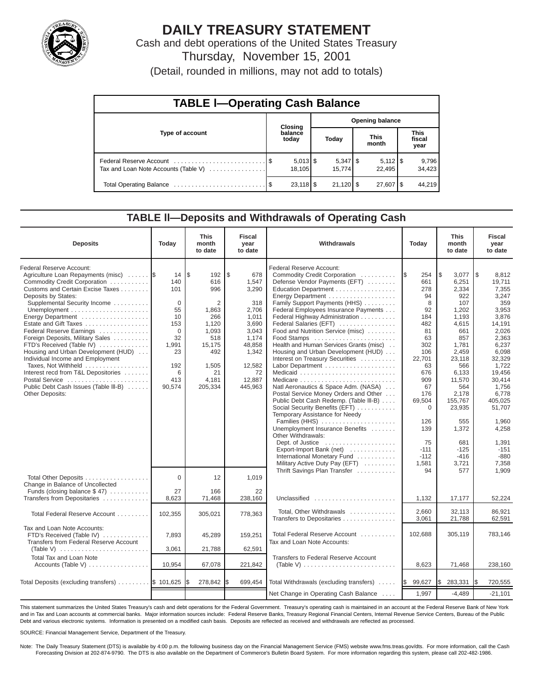

# **DAILY TREASURY STATEMENT**

Cash and debt operations of the United States Treasury Thursday, November 15, 2001 (Detail, rounded in millions, may not add to totals)

| <b>TABLE I-Operating Cash Balance</b> |  |                        |                        |        |  |                                 |                               |                 |  |  |
|---------------------------------------|--|------------------------|------------------------|--------|--|---------------------------------|-------------------------------|-----------------|--|--|
|                                       |  | Closing                | <b>Opening balance</b> |        |  |                                 |                               |                 |  |  |
| Type of account                       |  | balance<br>today       |                        | Today  |  | <b>This</b><br>month            | <b>This</b><br>fiscal<br>year |                 |  |  |
| Tax and Loan Note Accounts (Table V)  |  | 18.105                 |                        | 15.774 |  | $5,112$ $\frac{1}{3}$<br>22.495 |                               | 9,796<br>34,423 |  |  |
|                                       |  | $23.118$ $\frac{8}{3}$ |                        |        |  | $27,607$ $\frac{8}{3}$          |                               | 44,219          |  |  |

#### **TABLE ll—Deposits and Withdrawals of Operating Cash**

| <b>Deposits</b>                                                                                                                                                                                                                                                                                                                                                                                                                                                                                                                                             | Today                                                                                                             | <b>This</b><br>month<br>to date                                                                                            | <b>Fiscal</b><br>year<br>to date                                                                                                        | Withdrawals<br>Today                                                                                                                                                                                                                                                                                                                                                                                                                                                                                                                                                                                                                                                                                                                                                                                                                                                                                                                      |                                                                                                                                                                                                    | <b>This</b><br>month<br>to date                                                                                                                                                                                                            | <b>Fiscal</b><br>year<br>to date                                                                                                                                                                                                                                      |
|-------------------------------------------------------------------------------------------------------------------------------------------------------------------------------------------------------------------------------------------------------------------------------------------------------------------------------------------------------------------------------------------------------------------------------------------------------------------------------------------------------------------------------------------------------------|-------------------------------------------------------------------------------------------------------------------|----------------------------------------------------------------------------------------------------------------------------|-----------------------------------------------------------------------------------------------------------------------------------------|-------------------------------------------------------------------------------------------------------------------------------------------------------------------------------------------------------------------------------------------------------------------------------------------------------------------------------------------------------------------------------------------------------------------------------------------------------------------------------------------------------------------------------------------------------------------------------------------------------------------------------------------------------------------------------------------------------------------------------------------------------------------------------------------------------------------------------------------------------------------------------------------------------------------------------------------|----------------------------------------------------------------------------------------------------------------------------------------------------------------------------------------------------|--------------------------------------------------------------------------------------------------------------------------------------------------------------------------------------------------------------------------------------------|-----------------------------------------------------------------------------------------------------------------------------------------------------------------------------------------------------------------------------------------------------------------------|
| Federal Reserve Account:<br>Agriculture Loan Repayments (misc)<br>Commodity Credit Corporation<br>Customs and Certain Excise Taxes<br>Deposits by States:<br>Supplemental Security Income<br>Energy Department<br>Estate and Gift Taxes<br>Federal Reserve Earnings<br>Foreign Deposits, Military Sales<br>FTD's Received (Table IV)<br>Housing and Urban Development (HUD)<br>Individual Income and Employment<br>Taxes, Not Withheld<br>Interest recd from T&L Depositories<br>Postal Service<br>Public Debt Cash Issues (Table III-B)<br>Other Deposits: | 14<br>140<br>101<br>$\mathbf{0}$<br>55<br>10<br>153<br>$\Omega$<br>32<br>1,991<br>23<br>192<br>6<br>413<br>90,574 | l\$<br>192<br>616<br>996<br>2<br>1,863<br>266<br>1,120<br>1,093<br>518<br>15,175<br>492<br>1,505<br>21<br>4,181<br>205,334 | \$<br>678<br>1,547<br>3,290<br>318<br>2,706<br>1,011<br>3,690<br>3,043<br>1,174<br>48,858<br>1,342<br>12,582<br>72<br>12,887<br>445,963 | Federal Reserve Account:<br>Commodity Credit Corporation<br>Defense Vendor Payments (EFT)<br>Education Department<br>Energy Department<br>Family Support Payments (HHS)<br>Federal Employees Insurance Payments<br>Federal Highway Administration<br>Federal Salaries (EFT)<br>Food and Nutrition Service (misc)<br>Food Stamps<br>Health and Human Services Grants (misc)<br>Housing and Urban Development (HUD)<br>Interest on Treasury Securities<br>Labor Department<br>Natl Aeronautics & Space Adm. (NASA)<br>Postal Service Money Orders and Other<br>Public Debt Cash Redemp. (Table III-B)<br>Social Security Benefits (EFT)<br>Temporary Assistance for Needy<br>Families (HHS)<br>Unemployment Insurance Benefits<br>Other Withdrawals:<br>Dept. of Justice $\dots\dots\dots\dots\dots\dots\dots$<br>Export-Import Bank (net)<br>International Monetary Fund<br>Military Active Duty Pay (EFT)<br>Thrift Savings Plan Transfer | 254<br>I\$<br>661<br>278<br>94<br>8<br>92<br>184<br>482<br>81<br>63<br>302<br>106<br>22,701<br>63<br>676<br>909<br>67<br>176<br>69,504<br>0<br>126<br>139<br>75<br>$-111$<br>$-112$<br>1,581<br>94 | \$<br>3,077<br>6,251<br>2,334<br>922<br>107<br>1,202<br>1,193<br>4,615<br>661<br>857<br>1,781<br>2,459<br>23,118<br>566<br>6,133<br>11,570<br>564<br>2,178<br>155,767<br>23,935<br>555<br>1,372<br>681<br>$-125$<br>$-416$<br>3,721<br>577 | $\sqrt{3}$<br>8,812<br>19,711<br>7,355<br>3,247<br>359<br>3,953<br>3,876<br>14,191<br>2,026<br>2,363<br>6,237<br>6,098<br>32,329<br>1,722<br>19,456<br>30,414<br>1,756<br>6,778<br>405,025<br>51.707<br>1.960<br>4,258<br>1,391<br>$-151$<br>$-880$<br>7,358<br>1.909 |
| Total Other Deposits<br>Change in Balance of Uncollected<br>Funds (closing balance \$47)                                                                                                                                                                                                                                                                                                                                                                                                                                                                    | $\Omega$<br>27                                                                                                    | 12<br>166                                                                                                                  | 1,019<br>22                                                                                                                             |                                                                                                                                                                                                                                                                                                                                                                                                                                                                                                                                                                                                                                                                                                                                                                                                                                                                                                                                           |                                                                                                                                                                                                    |                                                                                                                                                                                                                                            |                                                                                                                                                                                                                                                                       |
| Transfers from Depositaries                                                                                                                                                                                                                                                                                                                                                                                                                                                                                                                                 | 8,623                                                                                                             | 71,468                                                                                                                     | 238,160                                                                                                                                 | Unclassified                                                                                                                                                                                                                                                                                                                                                                                                                                                                                                                                                                                                                                                                                                                                                                                                                                                                                                                              | 1,132                                                                                                                                                                                              | 17,177                                                                                                                                                                                                                                     | 52,224                                                                                                                                                                                                                                                                |
| Total Federal Reserve Account                                                                                                                                                                                                                                                                                                                                                                                                                                                                                                                               | 102,355                                                                                                           | 305,021                                                                                                                    | 778,363                                                                                                                                 | Total, Other Withdrawals<br>Transfers to Depositaries                                                                                                                                                                                                                                                                                                                                                                                                                                                                                                                                                                                                                                                                                                                                                                                                                                                                                     | 2,660<br>3,061                                                                                                                                                                                     | 32.113<br>21,788                                                                                                                                                                                                                           | 86.921<br>62,591                                                                                                                                                                                                                                                      |
| Tax and Loan Note Accounts:<br>FTD's Received (Table IV)<br>Transfers from Federal Reserve Account<br>(Table V)                                                                                                                                                                                                                                                                                                                                                                                                                                             | 7,893<br>3,061                                                                                                    | 45,289<br>21,788                                                                                                           | 159,251<br>62,591                                                                                                                       | Total Federal Reserve Account<br>Tax and Loan Note Accounts:                                                                                                                                                                                                                                                                                                                                                                                                                                                                                                                                                                                                                                                                                                                                                                                                                                                                              | 102,688                                                                                                                                                                                            | 305,119                                                                                                                                                                                                                                    | 783.146                                                                                                                                                                                                                                                               |
| <b>Total Tax and Loan Note</b><br>Accounts (Table V)                                                                                                                                                                                                                                                                                                                                                                                                                                                                                                        | 10,954                                                                                                            | 67,078                                                                                                                     | 221,842                                                                                                                                 | <b>Transfers to Federal Reserve Account</b><br>(Table V) $\ldots \ldots \ldots \ldots \ldots \ldots \ldots \ldots$                                                                                                                                                                                                                                                                                                                                                                                                                                                                                                                                                                                                                                                                                                                                                                                                                        | 8,623                                                                                                                                                                                              | 71,468                                                                                                                                                                                                                                     | 238,160                                                                                                                                                                                                                                                               |
|                                                                                                                                                                                                                                                                                                                                                                                                                                                                                                                                                             |                                                                                                                   |                                                                                                                            |                                                                                                                                         |                                                                                                                                                                                                                                                                                                                                                                                                                                                                                                                                                                                                                                                                                                                                                                                                                                                                                                                                           |                                                                                                                                                                                                    |                                                                                                                                                                                                                                            |                                                                                                                                                                                                                                                                       |
| Total Deposits (excluding transfers) $\ldots \ldots$ $\frac{1}{3}$ 101,625                                                                                                                                                                                                                                                                                                                                                                                                                                                                                  |                                                                                                                   | 278,842                                                                                                                    | \$<br>699,454                                                                                                                           | Total Withdrawals (excluding transfers)                                                                                                                                                                                                                                                                                                                                                                                                                                                                                                                                                                                                                                                                                                                                                                                                                                                                                                   | 99,627<br><b>S</b>                                                                                                                                                                                 | Ι\$<br>283,331                                                                                                                                                                                                                             | 720,555<br>I\$                                                                                                                                                                                                                                                        |
|                                                                                                                                                                                                                                                                                                                                                                                                                                                                                                                                                             |                                                                                                                   |                                                                                                                            |                                                                                                                                         | Net Change in Operating Cash Balance                                                                                                                                                                                                                                                                                                                                                                                                                                                                                                                                                                                                                                                                                                                                                                                                                                                                                                      | 1,997                                                                                                                                                                                              | $-4,489$                                                                                                                                                                                                                                   | $-21,101$                                                                                                                                                                                                                                                             |

This statement summarizes the United States Treasury's cash and debt operations for the Federal Government. Treasury's operating cash is maintained in an account at the Federal Reserve Bank of New York and in Tax and Loan accounts at commercial banks. Major information sources include: Federal Reserve Banks, Treasury Regional Financial Centers, Internal Revenue Service Centers, Bureau of the Public Debt and various electronic systems. Information is presented on a modified cash basis. Deposits are reflected as received and withdrawals are reflected as processed.

SOURCE: Financial Management Service, Department of the Treasury.

Note: The Daily Treasury Statement (DTS) is available by 4:00 p.m. the following business day on the Financial Management Service (FMS) website www.fms.treas.gov/dts. For more information, call the Cash Forecasting Division at 202-874-9790. The DTS is also available on the Department of Commerce's Bulletin Board System. For more information regarding this system, please call 202-482-1986.